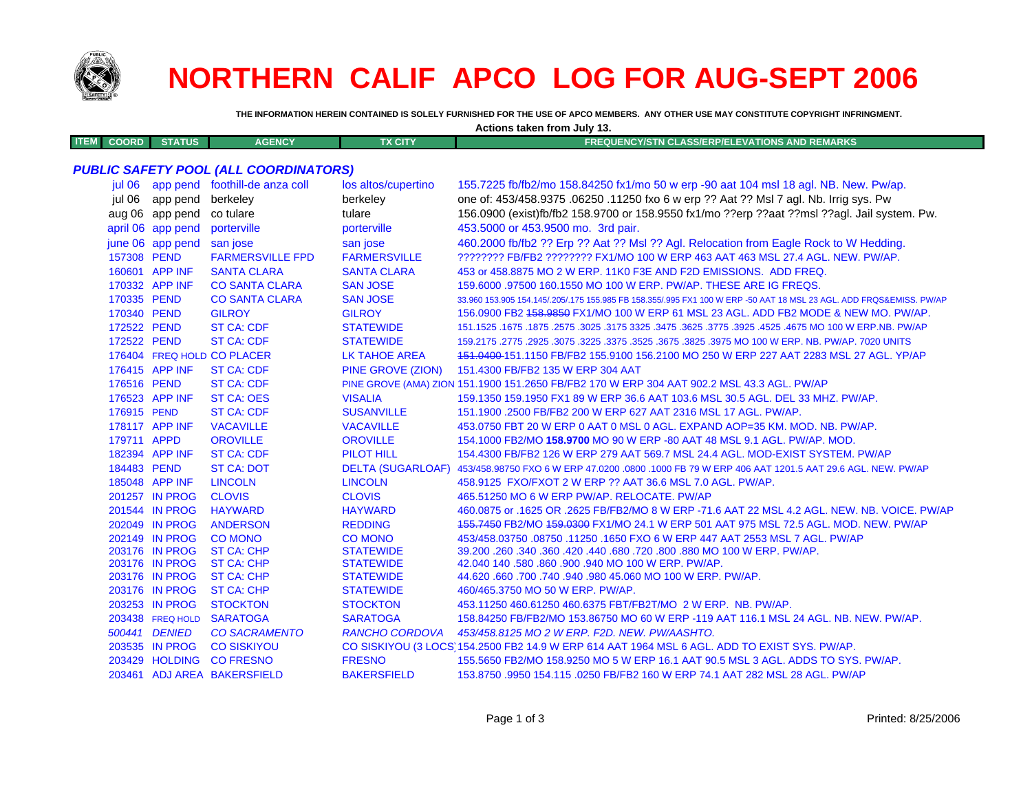

## **NORTHERN CALIF APCO LOG FOR AUG-SEPT 2006**

THE INFORMATION HEREIN CONTAINED IS SOLELY FURNISHED FOR THE USE OF APCO MEMBERS. ANY OTHER USE MAY CONSTITUTE COPYRIGHT INFRINGMENT.

| Actions taken from July 13.                  |                   |                                       |                          |                                                                                                                     |  |  |  |  |
|----------------------------------------------|-------------------|---------------------------------------|--------------------------|---------------------------------------------------------------------------------------------------------------------|--|--|--|--|
| <b>ITEM</b><br><b>COORD</b>                  | <b>STATUS</b>     | <b>AGENCY</b>                         | <b>TX CITY</b>           | <b>FREQUENCY/STN CLASS/ERP/ELEVATIONS AND REMARKS</b>                                                               |  |  |  |  |
|                                              |                   |                                       |                          |                                                                                                                     |  |  |  |  |
| <b>PUBLIC SAFETY POOL (ALL COORDINATORS)</b> |                   |                                       |                          |                                                                                                                     |  |  |  |  |
|                                              |                   | jul 06 app pend foothill-de anza coll | los altos/cupertino      | 155.7225 fb/fb2/mo 158.84250 fx1/mo 50 w erp -90 aat 104 msl 18 agl. NB. New. Pw/ap.                                |  |  |  |  |
| iul 06                                       | app pend          | berkeley                              | berkeley                 | one of: 453/458.9375 .06250 .11250 fxo 6 w erp ?? Aat ?? Msl 7 agl. Nb. Irrig sys. Pw                               |  |  |  |  |
|                                              | aug 06 app pend   | co tulare                             | tulare                   | 156.0900 (exist)fb/fb2 158.9700 or 158.9550 fx1/mo ??erp ??aat ??msl ??agl. Jail system. Pw.                        |  |  |  |  |
|                                              | april 06 app pend | porterville                           | porterville              | 453.5000 or 453.9500 mo. 3rd pair.                                                                                  |  |  |  |  |
|                                              | june 06 app pend  | san jose                              | san jose                 | 460.2000 fb/fb2 ?? Erp ?? Aat ?? MsI ?? Agl. Relocation from Eagle Rock to W Hedding.                               |  |  |  |  |
| 157308 PEND                                  |                   | <b>FARMERSVILLE FPD</b>               | <b>FARMERSVILLE</b>      | ???????? FB/FB2 ???????? FX1/MO 100 W ERP 463 AAT 463 MSL 27.4 AGL. NEW. PW/AP.                                     |  |  |  |  |
|                                              | 160601 APP INF    | <b>SANTA CLARA</b>                    | <b>SANTA CLARA</b>       | 453 or 458.8875 MO 2 W ERP. 11K0 F3E AND F2D EMISSIONS. ADD FREQ.                                                   |  |  |  |  |
|                                              | 170332 APP INF    | <b>CO SANTA CLARA</b>                 | <b>SAN JOSE</b>          | 159,6000 .97500 160.1550 MO 100 W ERP. PW/AP. THESE ARE IG FREQS.                                                   |  |  |  |  |
| 170335 PEND                                  |                   | <b>CO SANTA CLARA</b>                 | <b>SAN JOSE</b>          | 33.960 153.905 154.145/.205/.175 155.985 FB 158.355/.995 FX1 100 W ERP -50 AAT 18 MSL 23 AGL. ADD FRQS&EMISS. PW/AP |  |  |  |  |
| 170340 PEND                                  |                   | <b>GILROY</b>                         | <b>GILROY</b>            | 156.0900 FB2 458.9850 FX1/MO 100 W ERP 61 MSL 23 AGL. ADD FB2 MODE & NEW MO. PW/AP.                                 |  |  |  |  |
| 172522 PEND                                  |                   | <b>ST CA: CDF</b>                     | <b>STATEWIDE</b>         | 151.1525 .1675 .1875 .2575 .3025 .3175 3325 .3475 .3625 .3775 .3925 .4525 .4675 MO 100 W ERP NB. PW/AP              |  |  |  |  |
| 172522 PEND                                  |                   | <b>ST CA: CDF</b>                     | <b>STATEWIDE</b>         | 159.2175 .2775 .2925 .3075 .3225 .3375 .3525 .3675 .3825 .3975 MO 100 W ERP. NB. PW/AP. 7020 UNITS                  |  |  |  |  |
|                                              |                   | 176404 FREQ HOLD CO PLACER            | <b>LK TAHOE AREA</b>     | 151.0400-151.1150 FB/FB2 155.9100 156.2100 MO 250 W ERP 227 AAT 2283 MSL 27 AGL. YP/AP                              |  |  |  |  |
|                                              | 176415 APP INF    | <b>ST CA: CDF</b>                     | <b>PINE GROVE (ZION)</b> | 151.4300 FB/FB2 135 W ERP 304 AAT                                                                                   |  |  |  |  |
| 176516 PEND                                  |                   | <b>ST CA: CDF</b>                     |                          | PINE GROVE (AMA) ZION 151.1900 151.2650 FB/FB2 170 W ERP 304 AAT 902.2 MSL 43.3 AGL. PW/AP                          |  |  |  |  |
|                                              | 176523 APP INF    | <b>ST CA: OES</b>                     | <b>VISALIA</b>           | 159.1350 159.1950 FX1 89 W ERP 36.6 AAT 103.6 MSL 30.5 AGL. DEL 33 MHZ. PW/AP.                                      |  |  |  |  |
| 176915 PEND                                  |                   | <b>ST CA: CDF</b>                     | <b>SUSANVILLE</b>        | 151.1900 .2500 FB/FB2 200 W ERP 627 AAT 2316 MSL 17 AGL. PW/AP.                                                     |  |  |  |  |
|                                              | 178117 APP INF    | <b>VACAVILLE</b>                      | <b>VACAVILLE</b>         | 453.0750 FBT 20 W ERP 0 AAT 0 MSL 0 AGL. EXPAND AOP=35 KM. MOD. NB. PW/AP.                                          |  |  |  |  |
| 179711 APPD                                  |                   | <b>OROVILLE</b>                       | <b>OROVILLE</b>          | 154.1000 FB2/MO 158.9700 MO 90 W ERP -80 AAT 48 MSL 9.1 AGL. PW/AP. MOD.                                            |  |  |  |  |
|                                              | 182394 APP INF    | <b>ST CA: CDF</b>                     | <b>PILOT HILL</b>        | 154,4300 FB/FB2 126 W ERP 279 AAT 569.7 MSL 24.4 AGL, MOD-EXIST SYSTEM, PW/AP                                       |  |  |  |  |
| 184483 PEND                                  |                   | <b>ST CA: DOT</b>                     | <b>DELTA (SUGARLOAF)</b> | 453/458.98750 FXO 6 W ERP 47.0200 .0800 .1000 FB 79 W ERP 406 AAT 1201.5 AAT 29.6 AGL. NEW. PW/AP                   |  |  |  |  |
|                                              | 185048 APP INF    | <b>LINCOLN</b>                        | <b>LINCOLN</b>           | 458.9125 FXO/FXOT 2 W ERP ?? AAT 36.6 MSL 7.0 AGL. PW/AP.                                                           |  |  |  |  |
|                                              | 201257 IN PROG    | <b>CLOVIS</b>                         | <b>CLOVIS</b>            | 465.51250 MO 6 W ERP PW/AP. RELOCATE. PW/AP                                                                         |  |  |  |  |
|                                              | 201544 IN PROG    | <b>HAYWARD</b>                        | <b>HAYWARD</b>           | 460.0875 or .1625 OR .2625 FB/FB2/MO 8 W ERP -71.6 AAT 22 MSL 4.2 AGL, NEW, NB, VOICE, PW/AP                        |  |  |  |  |
|                                              | 202049 IN PROG    | <b>ANDERSON</b>                       | <b>REDDING</b>           | 455.7450 FB2/MO 459.0300 FX1/MO 24.1 W ERP 501 AAT 975 MSL 72.5 AGL. MOD. NEW. PW/AP                                |  |  |  |  |
|                                              | 202149 IN PROG    | <b>CO MONO</b>                        | <b>CO MONO</b>           | 453/458.03750.08750.11250.1650 FXO 6 W ERP 447 AAT 2553 MSL 7 AGL. PW/AP                                            |  |  |  |  |
|                                              | 203176 IN PROG    | <b>ST CA: CHP</b>                     | <b>STATEWIDE</b>         | 39.200 .260 .340 .360 .420 .440 .680 .720 .800 .880 MO 100 W ERP. PW/AP.                                            |  |  |  |  |
|                                              | 203176 IN PROG    | <b>ST CA: CHP</b>                     | <b>STATEWIDE</b>         | 42.040 140 .580 .860 .900 .940 MO 100 W ERP. PW/AP.                                                                 |  |  |  |  |
|                                              | 203176 IN PROG    | <b>ST CA: CHP</b>                     | <b>STATEWIDE</b>         | 44.620 .660 .700 .740 .940 .980 45.060 MO 100 W ERP. PW/AP.                                                         |  |  |  |  |
|                                              | 203176 IN PROG    | <b>ST CA: CHP</b>                     | <b>STATEWIDE</b>         | 460/465.3750 MO 50 W ERP. PW/AP.                                                                                    |  |  |  |  |
|                                              | 203253 IN PROG    | <b>STOCKTON</b>                       | <b>STOCKTON</b>          | 453.11250 460.61250 460.6375 FBT/FB2T/MO 2 W ERP. NB. PW/AP.                                                        |  |  |  |  |
|                                              | 203438 FREQ HOLD  | <b>SARATOGA</b>                       | <b>SARATOGA</b>          | 158.84250 FB/FB2/MO 153.86750 MO 60 W ERP -119 AAT 116.1 MSL 24 AGL, NB, NEW, PW/AP,                                |  |  |  |  |
|                                              | 500441 DENIED     | <b>CO SACRAMENTO</b>                  | <b>RANCHO CORDOVA</b>    | 453/458.8125 MO 2 W ERP. F2D. NEW. PW/AASHTO.                                                                       |  |  |  |  |
|                                              | 203535 IN PROG    | <b>CO SISKIYOU</b>                    |                          | CO SISKIYOU (3 LOCS) 154.2500 FB2 14.9 W ERP 614 AAT 1964 MSL 6 AGL. ADD TO EXIST SYS. PW/AP.                       |  |  |  |  |

CO SISKIYOU (3 LOCS 154.2500 FB2 14.9 W ERP 614 AAT 1964 MSL 6 AGL. ADD TO EXIST SYS. PW/AP. 203429 HOLDING CO FRESNO **FRESNO** 155.5650 FB2/MO 158.9250 MO 5 W ERP 16.1 AAT 90.5 MSL 3 AGL. ADDS TO SYS. PW/AP.

203461 ADJ AREA BAKERSFIELD **BAKERSFIELD** 153,8750,9950,154,115,0250 FB/FB2 160 W ERP 74.1 AAT 282 MSL 28 AGL, PW/AP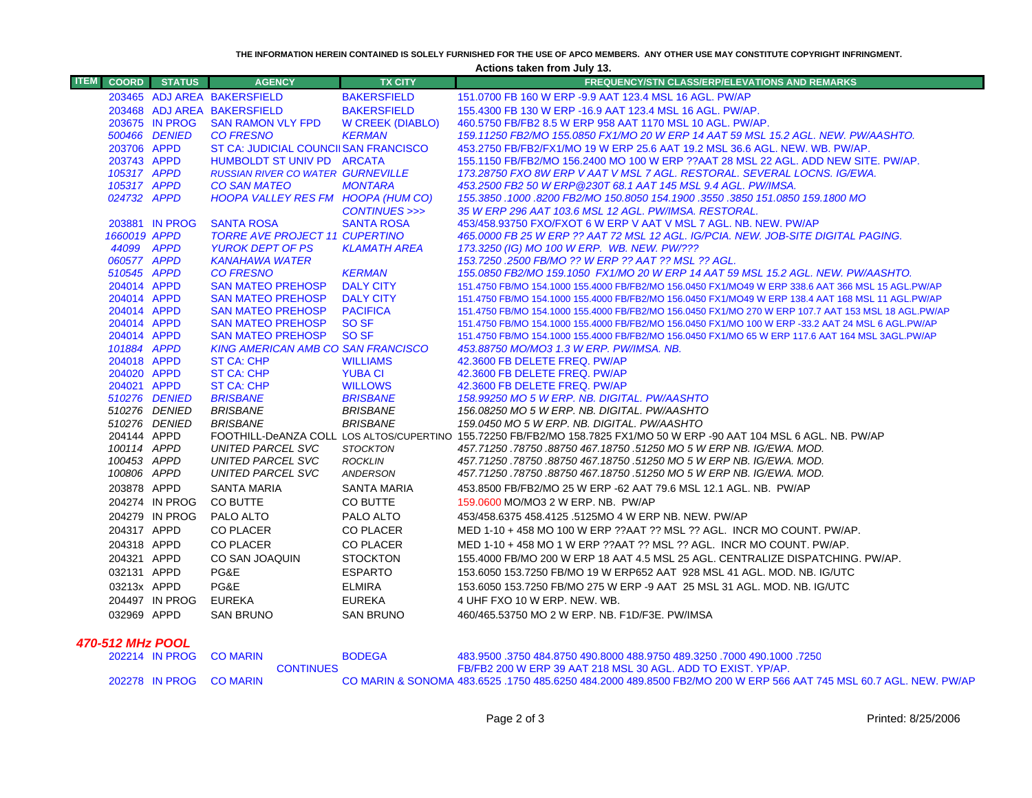**THE INFORMATION HEREIN CONTAINED IS SOLELY FURNISHED FOR THE USE OF APCO MEMBERS. ANY OTHER USE MAY CONSTITUTE COPYRIGHT INFRINGMENT.**

**Actions taken from July 13.**

| <b>ITEM</b>      |                            | <b>COORD</b> STATUS     | <b>AGENCY</b>                                                  | <b>TX CITY</b>                    | <b>FREQUENCY/STN CLASS/ERP/ELEVATIONS AND REMARKS</b>                                                                  |  |
|------------------|----------------------------|-------------------------|----------------------------------------------------------------|-----------------------------------|------------------------------------------------------------------------------------------------------------------------|--|
|                  |                            |                         | 203465 ADJ AREA BAKERSFIELD                                    | <b>BAKERSFIELD</b>                | 151.0700 FB 160 W ERP -9.9 AAT 123.4 MSL 16 AGL. PW/AP                                                                 |  |
|                  |                            |                         | 203468 ADJ AREA BAKERSFIELD                                    | <b>BAKERSFIELD</b>                | 155,4300 FB 130 W ERP -16.9 AAT 123.4 MSL 16 AGL, PW/AP.                                                               |  |
|                  |                            | 203675 IN PROG          | <b>SAN RAMON VLY FPD</b>                                       | W CREEK (DIABLO)                  | 460.5750 FB/FB2 8.5 W ERP 958 AAT 1170 MSL 10 AGL. PW/AP.                                                              |  |
|                  |                            | 500466 DENIED           | <b>CO FRESNO</b>                                               | <b>KERMAN</b>                     | 159.11250 FB2/MO 155.0850 FX1/MO 20 W ERP 14 AAT 59 MSL 15.2 AGL. NEW. PW/AASHTO.                                      |  |
|                  | 203706 APPD                |                         | ST CA: JUDICIAL COUNCIISAN FRANCISCO                           |                                   | 453.2750 FB/FB2/FX1/MO 19 W ERP 25.6 AAT 19.2 MSL 36.6 AGL. NEW. WB. PW/AP.                                            |  |
|                  | 203743 APPD                |                         | HUMBOLDT ST UNIV PD ARCATA                                     |                                   | 155.1150 FB/FB2/MO 156.2400 MO 100 W ERP ??AAT 28 MSL 22 AGL. ADD NEW SITE. PW/AP.                                     |  |
|                  | 105317 APPD                |                         | <b>RUSSIAN RIVER CO WATER GURNEVILLE</b>                       |                                   | 173.28750 FXO 8W ERP V AAT V MSL 7 AGL. RESTORAL. SEVERAL LOCNS. IG/EWA.                                               |  |
|                  | 105317 APPD                |                         | <b>CO SAN MATEO</b>                                            | <b>MONTARA</b>                    | 453.2500 FB2 50 W ERP@230T 68.1 AAT 145 MSL 9.4 AGL. PW/IMSA.                                                          |  |
|                  | 024732 APPD                |                         | HOOPA VALLEY RES FM HOOPA (HUM CO)                             |                                   | 155.3850 .1000 .8200 FB2/MO 150.8050 154.1900 .3550 .3850 151.0850 159.1800 MO                                         |  |
|                  |                            |                         |                                                                | CONTINUES >>>                     | 35 W ERP 296 AAT 103.6 MSL 12 AGL. PW/IMSA. RESTORAL.                                                                  |  |
|                  |                            | 203881 IN PROG          | <b>SANTA ROSA</b>                                              | <b>SANTA ROSA</b>                 | 453/458.93750 FXO/FXOT 6 W ERP V AAT V MSL 7 AGL. NB. NEW. PW/AP                                                       |  |
|                  | 1660019 APPD               |                         | <b>TORRE AVE PROJECT 11 CUPERTINO</b>                          |                                   | 465,0000 FB 25 W ERP ?? AAT 72 MSL 12 AGL. IG/PCIA. NEW. JOB-SITE DIGITAL PAGING.                                      |  |
|                  | 44099 APPD                 |                         | <b>YUROK DEPT OF PS</b>                                        | <b>KLAMATH AREA</b>               | 173.3250 (IG) MO 100 W ERP. WB. NEW. PW/???                                                                            |  |
|                  | 060577 APPD                |                         | <b>KANAHAWA WATER</b>                                          |                                   | 153.7250 .2500 FB/MO ?? W ERP ?? AAT ?? MSL ?? AGL.                                                                    |  |
|                  | 510545 APPD                |                         | <b>CO FRESNO</b>                                               | <b>KERMAN</b>                     | 155.0850 FB2/MO 159.1050 FX1/MO 20 W ERP 14 AAT 59 MSL 15.2 AGL. NEW. PW/AASHTO.                                       |  |
|                  | 204014 APPD                |                         | <b>SAN MATEO PREHOSP</b>                                       | <b>DALY CITY</b>                  | 151.4750 FB/MO 154.1000 155.4000 FB/FB2/MO 156.0450 FX1/MO49 W ERP 338.6 AAT 366 MSL 15 AGL.PW/AP                      |  |
|                  | 204014 APPD                |                         | <b>SAN MATEO PREHOSP</b>                                       | <b>DALY CITY</b>                  | 151.4750 FB/MO 154.1000 155.4000 FB/FB2/MO 156.0450 FX1/MO49 W ERP 138.4 AAT 168 MSL 11 AGL.PW/AP                      |  |
|                  | 204014 APPD                |                         | <b>SAN MATEO PREHOSP</b>                                       | <b>PACIFICA</b>                   | 151.4750 FB/MO 154.1000 155.4000 FB/FB2/MO 156.0450 FX1/MO 270 W ERP 107.7 AAT 153 MSL 18 AGL.PW/AP                    |  |
|                  | 204014 APPD                |                         | <b>SAN MATEO PREHOSP</b>                                       | SO SF                             | 151.4750 FB/MO 154.1000 155.4000 FB/FB2/MO 156.0450 FX1/MO 100 W ERP -33.2 AAT 24 MSL 6 AGL.PW/AP                      |  |
|                  | 204014 APPD                |                         | <b>SAN MATEO PREHOSP</b>                                       | SO SF                             | 151.4750 FB/MO 154.1000 155.4000 FB/FB2/MO 156.0450 FX1/MO 65 W ERP 117.6 AAT 164 MSL 3AGL.PW/AP                       |  |
|                  | 101884 APPD                |                         | <b>KING AMERICAN AMB CO SAN FRANCISCO</b><br><b>ST CA: CHP</b> |                                   | 453.88750 MO/MO3 1.3 W ERP. PW/IMSA. NB.                                                                               |  |
|                  | 204018 APPD<br>204020 APPD |                         | ST CA: CHP                                                     | <b>WILLIAMS</b><br><b>YUBA CI</b> | 42.3600 FB DELETE FREQ. PW/AP<br>42.3600 FB DELETE FREQ. PW/AP                                                         |  |
|                  | 204021 APPD                |                         | <b>ST CA: CHP</b>                                              | <b>WILLOWS</b>                    | 42.3600 FB DELETE FREQ. PW/AP                                                                                          |  |
|                  |                            | 510276 DENIED           | <b>BRISBANE</b>                                                | <b>BRISBANE</b>                   | 158.99250 MO 5 W ERP. NB. DIGITAL. PW/AASHTO                                                                           |  |
|                  |                            | 510276 DENIED           | <b>BRISBANE</b>                                                | <b>BRISBANE</b>                   | 156.08250 MO 5 W ERP. NB. DIGITAL. PW/AASHTO                                                                           |  |
|                  |                            | 510276 DENIED           | <b>BRISBANE</b>                                                | <b>BRISBANE</b>                   | 159.0450 MO 5 W ERP. NB. DIGITAL. PW/AASHTO                                                                            |  |
|                  | 204144 APPD                |                         |                                                                |                                   | FOOTHILL-DeANZA COLL LOS ALTOS/CUPERTINO 155.72250 FB/FB2/MO 158.7825 FX1/MO 50 W ERP -90 AAT 104 MSL 6 AGL. NB. PW/AP |  |
|                  | 100114 APPD                |                         | UNITED PARCEL SVC                                              | <b>STOCKTON</b>                   | 457.71250 .78750 .88750 467.18750 .51250 MO 5 W ERP NB. IG/EWA. MOD.                                                   |  |
|                  | 100453 APPD                |                         | UNITED PARCEL SVC                                              | <b>ROCKLIN</b>                    | 457.71250.78750.88750 467.18750.51250 MO 5 W ERP NB. IG/EWA. MOD.                                                      |  |
|                  | 100806 APPD                |                         | UNITED PARCEL SVC                                              | <b>ANDERSON</b>                   | 457.71250.78750.88750 467.18750.51250 MO 5 W ERP NB. IG/EWA. MOD.                                                      |  |
|                  | 203878 APPD                |                         | <b>SANTA MARIA</b>                                             | <b>SANTA MARIA</b>                | 453,8500 FB/FB2/MO 25 W ERP -62 AAT 79.6 MSL 12.1 AGL, NB, PW/AP                                                       |  |
|                  |                            | 204274 IN PROG          | <b>CO BUTTE</b>                                                | CO BUTTE                          | 159,0600 MO/MO3 2 W ERP, NB. PW/AP                                                                                     |  |
|                  |                            | 204279 IN PROG          | PALO ALTO                                                      | PALO ALTO                         | 453/458.6375 458.4125 .5125MO 4 W ERP NB. NEW. PW/AP                                                                   |  |
|                  | 204317 APPD                |                         | CO PLACER                                                      | CO PLACER                         | MED 1-10 + 458 MO 100 W ERP ??AAT ?? MSL ?? AGL. INCR MO COUNT. PW/AP.                                                 |  |
|                  | 204318 APPD                |                         | <b>CO PLACER</b>                                               | <b>CO PLACER</b>                  |                                                                                                                        |  |
|                  |                            |                         |                                                                |                                   | MED 1-10 + 458 MO 1 W ERP ??AAT ?? MSL ?? AGL. INCR MO COUNT. PW/AP.                                                   |  |
|                  | 204321 APPD                |                         | CO SAN JOAQUIN                                                 | <b>STOCKTON</b>                   | 155.4000 FB/MO 200 W ERP 18 AAT 4.5 MSL 25 AGL. CENTRALIZE DISPATCHING. PW/AP.                                         |  |
|                  | 032131 APPD                |                         | PG&E                                                           | <b>ESPARTO</b>                    | 153.6050 153.7250 FB/MO 19 W ERP652 AAT 928 MSL 41 AGL. MOD. NB. IG/UTC                                                |  |
|                  | 03213x APPD                |                         | PG&E                                                           | <b>ELMIRA</b>                     | 153.6050 153.7250 FB/MO 275 W ERP -9 AAT 25 MSL 31 AGL. MOD. NB. IG/UTC                                                |  |
|                  |                            | 204497 IN PROG          | <b>EUREKA</b>                                                  | <b>EUREKA</b>                     | 4 UHF FXO 10 W ERP. NEW. WB.                                                                                           |  |
|                  | 032969 APPD                |                         | <b>SAN BRUNO</b>                                               | <b>SAN BRUNO</b>                  | 460/465.53750 MO 2 W ERP. NB. F1D/F3E. PW/IMSA                                                                         |  |
| 470-512 MHz POOL |                            |                         |                                                                |                                   |                                                                                                                        |  |
|                  |                            | 202214 IN PROG          | <b>CO MARIN</b>                                                | <b>BODEGA</b>                     | 483,9500 .3750 484,8750 490,8000 488,9750 489,3250 .7000 490,1000 .7250                                                |  |
|                  |                            |                         | <b>CONTINUES</b>                                               |                                   | FB/FB2 200 W ERP 39 AAT 218 MSL 30 AGL. ADD TO EXIST. YP/AP.                                                           |  |
|                  |                            | 202278 IN PROG CO MARIN |                                                                |                                   | CO MARIN & SONOMA 483.6525 .1750 485.6250 484.2000 489.8500 FB2/MO 200 W ERP 566 AAT 745 MSL 60.7 AGL. NEW. PW/AP      |  |

A 483.6525 .1750 485.6250 484.2000 489.8500 FB2/MO 200 W ERP 566 AAT 745 MSL 60.7 AGL. NEW. PW/AP